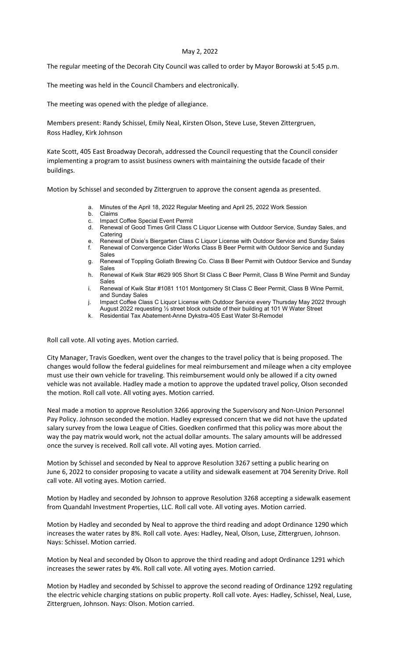## May 2, 2022

The regular meeting of the Decorah City Council was called to order by Mayor Borowski at 5:45 p.m.

The meeting was held in the Council Chambers and electronically.

The meeting was opened with the pledge of allegiance.

Members present: Randy Schissel, Emily Neal, Kirsten Olson, Steve Luse, Steven Zittergruen, Ross Hadley, Kirk Johnson

Kate Scott, 405 East Broadway Decorah, addressed the Council requesting that the Council consider implementing a program to assist business owners with maintaining the outside facade of their buildings.

Motion by Schissel and seconded by Zittergruen to approve the consent agenda as presented.

- a. Minutes of the April 18, 2022 Regular Meeting and April 25, 2022 Work Session
- b. Claims
- Impact Coffee Special Event Permit
- d. Renewal of Good Times Grill Class C Liquor License with Outdoor Service, Sunday Sales, and **Catering**
- Renewal of Dixie's Biergarten Class C Liquor License with Outdoor Service and Sunday Sales f. Renewal of Convergence Cider Works Class B Beer Permit with Outdoor Service and Sunday Sales
- g. Renewal of Toppling Goliath Brewing Co. Class B Beer Permit with Outdoor Service and Sunday Sales
- h. Renewal of Kwik Star #629 905 Short St Class C Beer Permit, Class B Wine Permit and Sunday Sales
- i. Renewal of Kwik Star #1081 1101 Montgomery St Class C Beer Permit, Class B Wine Permit, and Sunday Sales
- Impact Coffee Class C Liquor License with Outdoor Service every Thursday May 2022 through August 2022 requesting ½ street block outside of their building at 101 W Water Street
- k. Residential Tax Abatement-Anne Dykstra-405 East Water St-Remodel

Roll call vote. All voting ayes. Motion carried.

City Manager, Travis Goedken, went over the changes to the travel policy that is being proposed. The changes would follow the federal guidelines for meal reimbursement and mileage when a city employee must use their own vehicle for traveling. This reimbursement would only be allowed if a city owned vehicle was not available. Hadley made a motion to approve the updated travel policy, Olson seconded the motion. Roll call vote. All voting ayes. Motion carried.

Neal made a motion to approve Resolution 3266 approving the Supervisory and Non-Union Personnel Pay Policy. Johnson seconded the motion. Hadley expressed concern that we did not have the updated salary survey from the Iowa League of Cities. Goedken confirmed that this policy was more about the way the pay matrix would work, not the actual dollar amounts. The salary amounts will be addressed once the survey is received. Roll call vote. All voting ayes. Motion carried.

Motion by Schissel and seconded by Neal to approve Resolution 3267 setting a public hearing on June 6, 2022 to consider proposing to vacate a utility and sidewalk easement at 704 Serenity Drive. Roll call vote. All voting ayes. Motion carried.

Motion by Hadley and seconded by Johnson to approve Resolution 3268 accepting a sidewalk easement from Quandahl Investment Properties, LLC. Roll call vote. All voting ayes. Motion carried.

Motion by Hadley and seconded by Neal to approve the third reading and adopt Ordinance 1290 which increases the water rates by 8%. Roll call vote. Ayes: Hadley, Neal, Olson, Luse, Zittergruen, Johnson. Nays: Schissel. Motion carried.

Motion by Neal and seconded by Olson to approve the third reading and adopt Ordinance 1291 which increases the sewer rates by 4%. Roll call vote. All voting ayes. Motion carried.

Motion by Hadley and seconded by Schissel to approve the second reading of Ordinance 1292 regulating the electric vehicle charging stations on public property. Roll call vote. Ayes: Hadley, Schissel, Neal, Luse, Zittergruen, Johnson. Nays: Olson. Motion carried.